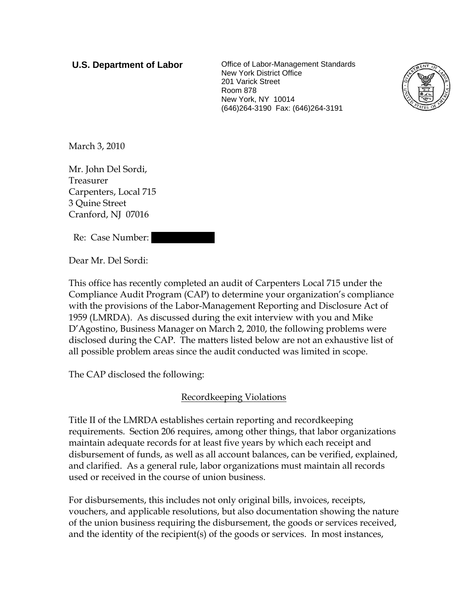**U.S. Department of Labor Office of Labor-Management Standards** New York District Office 201 Varick Street Room 878 New York, NY 10014 (646)264-3190 Fax: (646)264-3191



March 3, 2010

Mr. John Del Sordi, Treasurer Carpenters, Local 715 3 Quine Street Cranford, NJ 07016

Re: Case Number:

Dear Mr. Del Sordi:

This office has recently completed an audit of Carpenters Local 715 under the Compliance Audit Program (CAP) to determine your organization's compliance with the provisions of the Labor-Management Reporting and Disclosure Act of 1959 (LMRDA). As discussed during the exit interview with you and Mike D'Agostino, Business Manager on March 2, 2010, the following problems were disclosed during the CAP. The matters listed below are not an exhaustive list of all possible problem areas since the audit conducted was limited in scope.

The CAP disclosed the following:

# Recordkeeping Violations

Title II of the LMRDA establishes certain reporting and recordkeeping requirements. Section 206 requires, among other things, that labor organizations maintain adequate records for at least five years by which each receipt and disbursement of funds, as well as all account balances, can be verified, explained, and clarified. As a general rule, labor organizations must maintain all records used or received in the course of union business.

For disbursements, this includes not only original bills, invoices, receipts, vouchers, and applicable resolutions, but also documentation showing the nature of the union business requiring the disbursement, the goods or services received, and the identity of the recipient(s) of the goods or services. In most instances,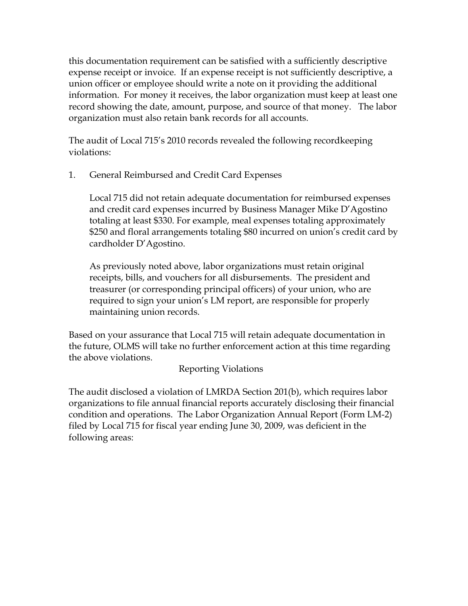this documentation requirement can be satisfied with a sufficiently descriptive expense receipt or invoice. If an expense receipt is not sufficiently descriptive, a union officer or employee should write a note on it providing the additional information. For money it receives, the labor organization must keep at least one record showing the date, amount, purpose, and source of that money. The labor organization must also retain bank records for all accounts.

The audit of Local 715's 2010 records revealed the following recordkeeping violations:

1. General Reimbursed and Credit Card Expenses

Local 715 did not retain adequate documentation for reimbursed expenses and credit card expenses incurred by Business Manager Mike D'Agostino totaling at least \$330. For example, meal expenses totaling approximately \$250 and floral arrangements totaling \$80 incurred on union's credit card by cardholder D'Agostino.

As previously noted above, labor organizations must retain original receipts, bills, and vouchers for all disbursements. The president and treasurer (or corresponding principal officers) of your union, who are required to sign your union's LM report, are responsible for properly maintaining union records.

Based on your assurance that Local 715 will retain adequate documentation in the future, OLMS will take no further enforcement action at this time regarding the above violations.

# Reporting Violations

The audit disclosed a violation of LMRDA Section 201(b), which requires labor organizations to file annual financial reports accurately disclosing their financial condition and operations. The Labor Organization Annual Report (Form LM-2) filed by Local 715 for fiscal year ending June 30, 2009, was deficient in the following areas: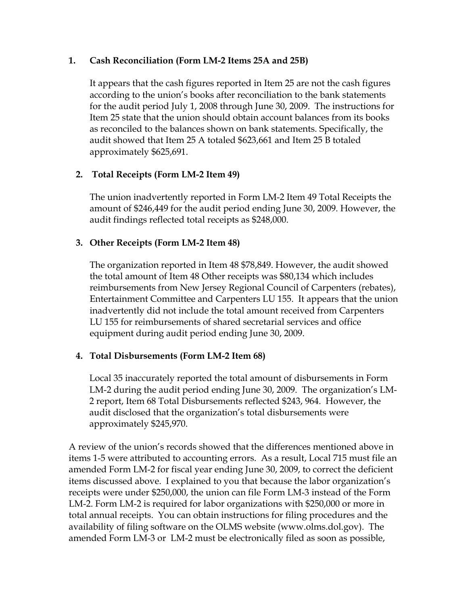### **1. Cash Reconciliation (Form LM-2 Items 25A and 25B)**

It appears that the cash figures reported in Item 25 are not the cash figures according to the union's books after reconciliation to the bank statements for the audit period July 1, 2008 through June 30, 2009. The instructions for Item 25 state that the union should obtain account balances from its books as reconciled to the balances shown on bank statements. Specifically, the audit showed that Item 25 A totaled \$623,661 and Item 25 B totaled approximately \$625,691.

# **2. Total Receipts (Form LM-2 Item 49)**

The union inadvertently reported in Form LM-2 Item 49 Total Receipts the amount of \$246,449 for the audit period ending June 30, 2009. However, the audit findings reflected total receipts as \$248,000.

# **3. Other Receipts (Form LM-2 Item 48)**

The organization reported in Item 48 \$78,849. However, the audit showed the total amount of Item 48 Other receipts was \$80,134 which includes reimbursements from New Jersey Regional Council of Carpenters (rebates), Entertainment Committee and Carpenters LU 155. It appears that the union inadvertently did not include the total amount received from Carpenters LU 155 for reimbursements of shared secretarial services and office equipment during audit period ending June 30, 2009.

# **4. Total Disbursements (Form LM-2 Item 68)**

Local 35 inaccurately reported the total amount of disbursements in Form LM-2 during the audit period ending June 30, 2009. The organization's LM-2 report, Item 68 Total Disbursements reflected \$243, 964. However, the audit disclosed that the organization's total disbursements were approximately \$245,970.

A review of the union's records showed that the differences mentioned above in items 1-5 were attributed to accounting errors. As a result, Local 715 must file an amended Form LM-2 for fiscal year ending June 30, 2009, to correct the deficient items discussed above. I explained to you that because the labor organization's receipts were under \$250,000, the union can file Form LM-3 instead of the Form LM-2. Form LM-2 is required for labor organizations with \$250,000 or more in total annual receipts. You can obtain instructions for filing procedures and the availability of filing software on the OLMS website (www.olms.dol.gov). The amended Form LM-3 or LM-2 must be electronically filed as soon as possible,